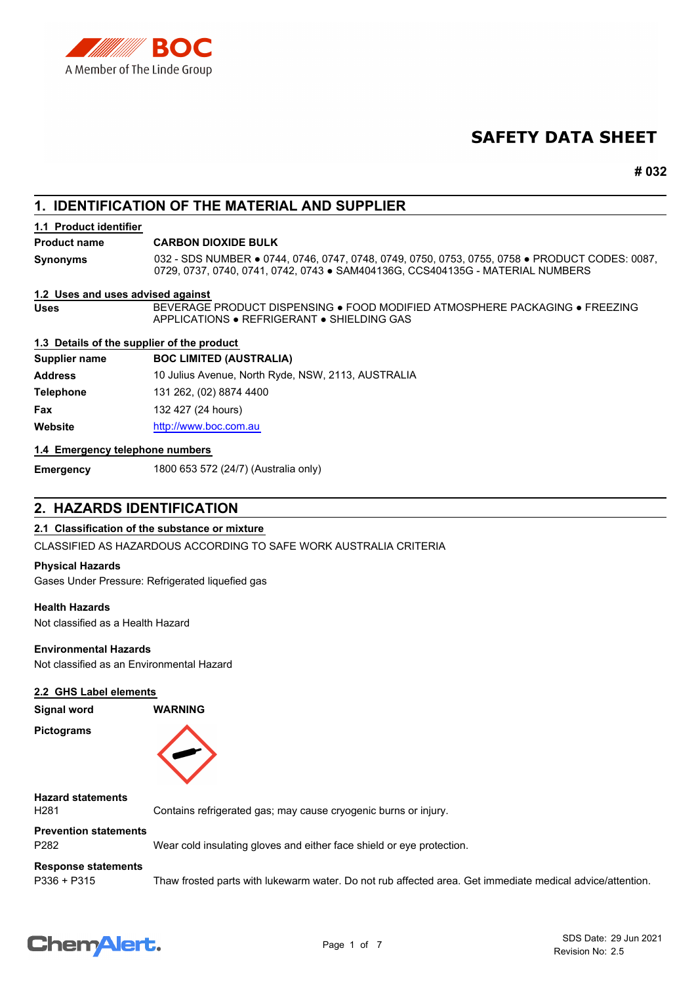

# **SAFETY DATA SHEET**

**# 032**

# **1. IDENTIFICATION OF THE MATERIAL AND SUPPLIER**

#### **1.1 Product identifier**

#### **Product name CARBON DIOXIDE BULK**

032 - SDS NUMBER ● 0744, 0746, 0747, 0748, 0749, 0750, 0753, 0755, 0758 ● PRODUCT CODES: 0087, 0729, 0737, 0740, 0741, 0742, 0743 ● SAM404136G, CCS404135G - MATERIAL NUMBERS **Synonyms**

#### **1.2 Uses and uses advised against**

BEVERAGE PRODUCT DISPENSING ● FOOD MODIFIED ATMOSPHERE PACKAGING ● FREEZING APPLICATIONS ● REFRIGERANT ● SHIELDING GAS

#### **1.3 Details of the supplier of the product**

**Supplier name BOC LIMITED (AUSTRALIA) Address** 10 Julius Avenue, North Ryde, NSW, 2113, AUSTRALIA **Telephone** 131 262, (02) 8874 4400 **Fax** 132 427 (24 hours) **Website** [http://www.](http://www.boc.com.au)boc.com.au

#### **1.4 Emergency telephone numbers**

**Uses**

**Emergency** 1800 653 572 (24/7) (Australia only)

# **2. HAZARDS IDENTIFICATION**

#### **2.1 Classification of the substance or mixture**

CLASSIFIED AS HAZARDOUS ACCORDING TO SAFE WORK AUSTRALIA CRITERIA

#### **Physical Hazards**

Gases Under Pressure: Refrigerated liquefied gas

#### **Health Hazards**

Not classified as a Health Hazard

#### **Environmental Hazards**

Not classified as an Environmental Hazard

#### **2.2 GHS Label elements**

| Signal word       | <b>WARNING</b> |
|-------------------|----------------|
| <b>Pictograms</b> |                |



### **Hazard statements**

H281 Contains refrigerated gas; may cause cryogenic burns or injury.

# **Prevention statements**

P282 Wear cold insulating gloves and either face shield or eye protection.

# **Response statements**

P336 + P315 Thaw frosted parts with lukewarm water. Do not rub affected area. Get immediate medical advice/attention.

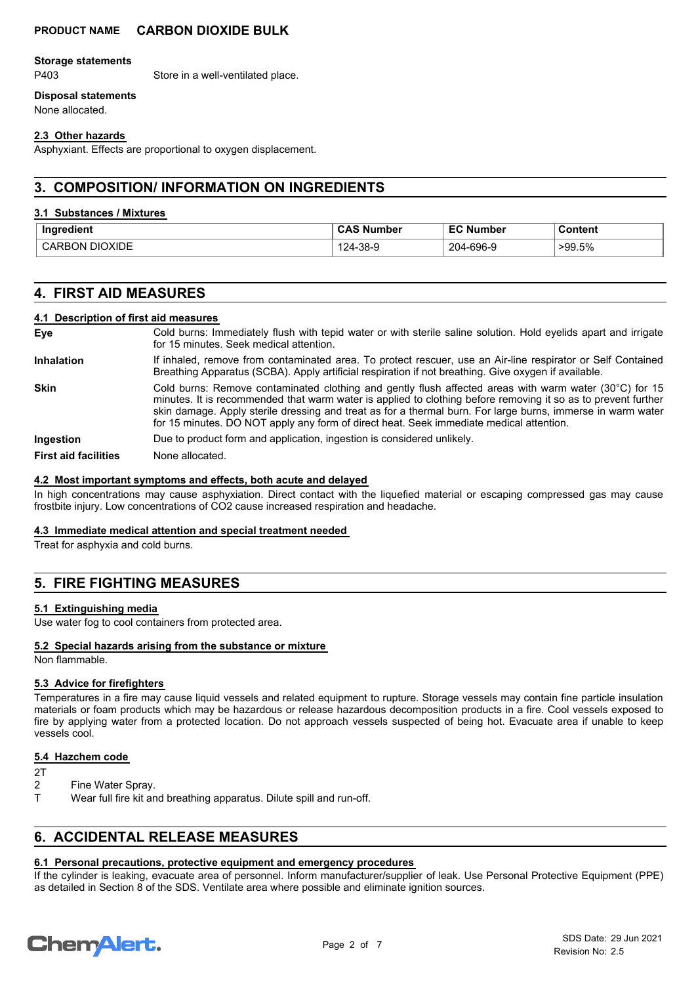#### **Storage statements**

P403 Store in a well-ventilated place.

## **Disposal statements**

None allocated.

#### **2.3 Other hazards**

Asphyxiant. Effects are proportional to oxygen displacement.

# **3. COMPOSITION/ INFORMATION ON INGREDIENTS**

#### **3.1 Substances / Mixtures**

| .                                                               | ' CA∟          | $-2$            | Content    |
|-----------------------------------------------------------------|----------------|-----------------|------------|
| Ingredient                                                      | ، Number د     | <b>Number</b>   |            |
| חוצרE<br>$\overline{\mathbf{H}}$<br>- ) N<br>$\mathbf{v}$<br>nı | $-38-9$<br>ΖД. | $-696-9$<br>204 | .5%<br>>99 |

# **4. FIRST AID MEASURES**

#### **4.1 Description of first aid measures**

| Eve                         | Cold burns: Immediately flush with tepid water or with sterile saline solution. Hold eyelids apart and irrigate<br>for 15 minutes. Seek medical attention.                                                                                                                                                                                                                                                                        |
|-----------------------------|-----------------------------------------------------------------------------------------------------------------------------------------------------------------------------------------------------------------------------------------------------------------------------------------------------------------------------------------------------------------------------------------------------------------------------------|
| <b>Inhalation</b>           | If inhaled, remove from contaminated area. To protect rescuer, use an Air-line respirator or Self Contained<br>Breathing Apparatus (SCBA). Apply artificial respiration if not breathing. Give oxygen if available.                                                                                                                                                                                                               |
| <b>Skin</b>                 | Cold burns: Remove contaminated clothing and gently flush affected areas with warm water (30°C) for 15<br>minutes. It is recommended that warm water is applied to clothing before removing it so as to prevent further<br>skin damage. Apply sterile dressing and treat as for a thermal burn. For large burns, immerse in warm water<br>for 15 minutes. DO NOT apply any form of direct heat. Seek immediate medical attention. |
| Ingestion                   | Due to product form and application, ingestion is considered unlikely.                                                                                                                                                                                                                                                                                                                                                            |
| <b>First aid facilities</b> | None allocated.                                                                                                                                                                                                                                                                                                                                                                                                                   |

#### **4.2 Most important symptoms and effects, both acute and delayed**

In high concentrations may cause asphyxiation. Direct contact with the liquefied material or escaping compressed gas may cause frostbite injury. Low concentrations of CO2 cause increased respiration and headache.

#### **4.3 Immediate medical attention and special treatment needed**

Treat for asphyxia and cold burns.

# **5. FIRE FIGHTING MEASURES**

#### **5.1 Extinguishing media**

Use water fog to cool containers from protected area.

#### **5.2 Special hazards arising from the substance or mixture**

Non flammable.

#### **5.3 Advice for firefighters**

Temperatures in a fire may cause liquid vessels and related equipment to rupture. Storage vessels may contain fine particle insulation materials or foam products which may be hazardous or release hazardous decomposition products in a fire. Cool vessels exposed to fire by applying water from a protected location. Do not approach vessels suspected of being hot. Evacuate area if unable to keep vessels cool.

#### **5.4 Hazchem code**

 $\frac{2T}{2}$ 

- Fine Water Spray.
- T Wear full fire kit and breathing apparatus. Dilute spill and run-off.

# **6. ACCIDENTAL RELEASE MEASURES**

#### **6.1 Personal precautions, protective equipment and emergency procedures**

If the cylinder is leaking, evacuate area of personnel. Inform manufacturer/supplier of leak. Use Personal Protective Equipment (PPE) as detailed in Section 8 of the SDS. Ventilate area where possible and eliminate ignition sources.

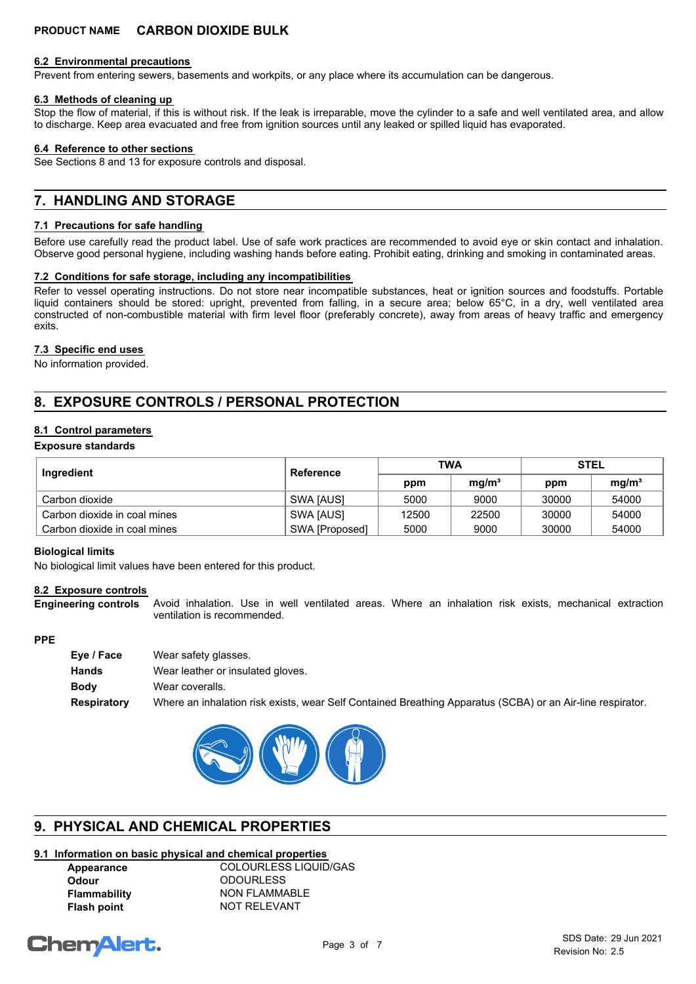#### **6.2 Environmental precautions**

Prevent from entering sewers, basements and workpits, or any place where its accumulation can be dangerous.

#### **6.3 Methods of cleaning up**

Stop the flow of material, if this is without risk. If the leak is irreparable, move the cylinder to a safe and well ventilated area, and allow to discharge. Keep area evacuated and free from ignition sources until any leaked or spilled liquid has evaporated.

#### **6.4 Reference to other sections**

See Sections 8 and 13 for exposure controls and disposal.

# **7. HANDLING AND STORAGE**

#### **7.1 Precautions for safe handling**

Before use carefully read the product label. Use of safe work practices are recommended to avoid eye or skin contact and inhalation. Observe good personal hygiene, including washing hands before eating. Prohibit eating, drinking and smoking in contaminated areas.

#### **7.2 Conditions for safe storage, including any incompatibilities**

Refer to vessel operating instructions. Do not store near incompatible substances, heat or ignition sources and foodstuffs. Portable liquid containers should be stored: upright, prevented from falling, in a secure area; below 65°C, in a dry, well ventilated area constructed of non-combustible material with firm level floor (preferably concrete), away from areas of heavy traffic and emergency exits.

#### **7.3 Specific end uses**

No information provided.

# **8. EXPOSURE CONTROLS / PERSONAL PROTECTION**

### **8.1 Control parameters**

**Exposure standards**

| Ingredient                   | Reference      | TWA   |                   | <b>STEL</b> |                   |
|------------------------------|----------------|-------|-------------------|-------------|-------------------|
|                              |                | ppm   | mq/m <sup>3</sup> | ppm         | mq/m <sup>3</sup> |
| Carbon dioxide               | SWA [AUS]      | 5000  | 9000              | 30000       | 54000             |
| Carbon dioxide in coal mines | SWA [AUS]      | 12500 | 22500             | 30000       | 54000             |
| Carbon dioxide in coal mines | SWA [Proposed] | 5000  | 9000              | 30000       | 54000             |

#### **Biological limits**

No biological limit values have been entered for this product.

#### **8.2 Exposure controls**

Avoid inhalation. Use in well ventilated areas. Where an inhalation risk exists, mechanical extraction ventilation is recommended. **Engineering controls**

#### **PPE**

| Eye / Face  | Wear safety glasses.                                                                                       |
|-------------|------------------------------------------------------------------------------------------------------------|
| Hands       | Wear leather or insulated gloves.                                                                          |
| Bodv        | Wear coveralls.                                                                                            |
| Respiratory | Where an inhalation risk exists, wear Self Contained Breathing Apparatus (SCBA) or an Air-line respirator. |



# **9. PHYSICAL AND CHEMICAL PROPERTIES**

# **9.1 Information on basic physical and chemical properties**

**Appearance** COLOURLESS LIQUID/GAS **Odour** ODOURLESS **Flammability** NON FLAMMABLE **Flash point** NOT RELEVANT

# **ChemAlert.**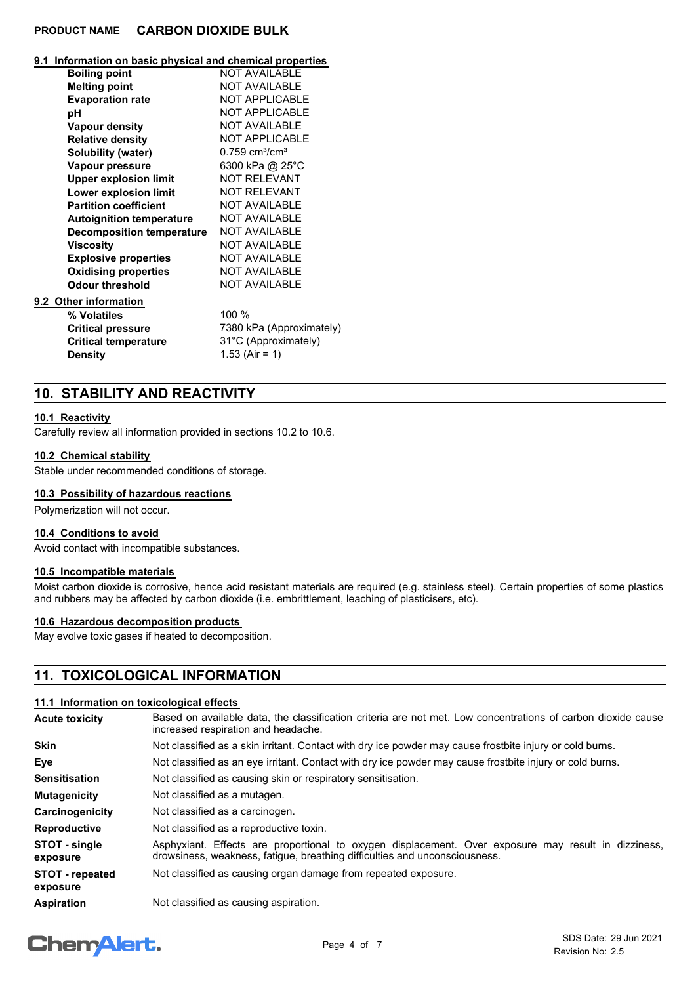#### **9.1 Information on basic physical and chemical properties**

| <b>Boiling point</b>             | <b>NOT AVAILABLE</b>                     |
|----------------------------------|------------------------------------------|
| <b>Melting point</b>             | <b>NOT AVAILABLE</b>                     |
| <b>Evaporation rate</b>          | <b>NOT APPLICABLE</b>                    |
| рH                               | <b>NOT APPLICABLE</b>                    |
| Vapour density                   | <b>NOT AVAILABLE</b>                     |
| <b>Relative density</b>          | <b>NOT APPLICABLE</b>                    |
| Solubility (water)               | $0.759$ cm <sup>3</sup> /cm <sup>3</sup> |
| Vapour pressure                  | 6300 kPa @ 25°C                          |
| <b>Upper explosion limit</b>     | <b>NOT RELEVANT</b>                      |
| Lower explosion limit            | <b>NOT RELEVANT</b>                      |
| <b>Partition coefficient</b>     | <b>NOT AVAILABLE</b>                     |
| <b>Autoignition temperature</b>  | <b>NOT AVAILABLE</b>                     |
| <b>Decomposition temperature</b> | <b>NOT AVAILABLE</b>                     |
| <b>Viscosity</b>                 | <b>NOT AVAILABLE</b>                     |
| <b>Explosive properties</b>      | <b>NOT AVAILABLE</b>                     |
| <b>Oxidising properties</b>      | <b>NOT AVAILABLE</b>                     |
| <b>Odour threshold</b>           | <b>NOT AVAILABLE</b>                     |
| 9.2 Other information            |                                          |
| % Volatiles                      | 100 %                                    |
| <b>Critical pressure</b>         | 7380 kPa (Approximately)                 |
| <b>Critical temperature</b>      | 31°C (Approximately)                     |
| <b>Density</b>                   | 1.53 (Air = 1)                           |
|                                  |                                          |

## **10. STABILITY AND REACTIVITY**

#### **10.1 Reactivity**

Carefully review all information provided in sections 10.2 to 10.6.

#### **10.2 Chemical stability**

Stable under recommended conditions of storage.

### **10.3 Possibility of hazardous reactions**

Polymerization will not occur.

#### **10.4 Conditions to avoid**

Avoid contact with incompatible substances.

### **10.5 Incompatible materials**

Moist carbon dioxide is corrosive, hence acid resistant materials are required (e.g. stainless steel). Certain properties of some plastics and rubbers may be affected by carbon dioxide (i.e. embrittlement, leaching of plasticisers, etc).

#### **10.6 Hazardous decomposition products**

May evolve toxic gases if heated to decomposition.

# **11. TOXICOLOGICAL INFORMATION**

#### **11.1 Information on toxicological effects**

| <b>Acute toxicity</b>              | Based on available data, the classification criteria are not met. Low concentrations of carbon dioxide cause<br>increased respiration and headache.                               |  |
|------------------------------------|-----------------------------------------------------------------------------------------------------------------------------------------------------------------------------------|--|
| <b>Skin</b>                        | Not classified as a skin irritant. Contact with dry ice powder may cause frostbite injury or cold burns.                                                                          |  |
| Eye                                | Not classified as an eye irritant. Contact with dry ice powder may cause frostbite injury or cold burns.                                                                          |  |
| <b>Sensitisation</b>               | Not classified as causing skin or respiratory sensitisation.                                                                                                                      |  |
| <b>Mutagenicity</b>                | Not classified as a mutagen.                                                                                                                                                      |  |
| Carcinogenicity                    | Not classified as a carcinogen.                                                                                                                                                   |  |
| <b>Reproductive</b>                | Not classified as a reproductive toxin.                                                                                                                                           |  |
| STOT - single<br>exposure          | Asphyxiant. Effects are proportional to oxygen displacement. Over exposure may result in dizziness,<br>drowsiness, weakness, fatigue, breathing difficulties and unconsciousness. |  |
| <b>STOT</b> - repeated<br>exposure | Not classified as causing organ damage from repeated exposure.                                                                                                                    |  |
| <b>Aspiration</b>                  | Not classified as causing aspiration.                                                                                                                                             |  |

# **Chemalert.**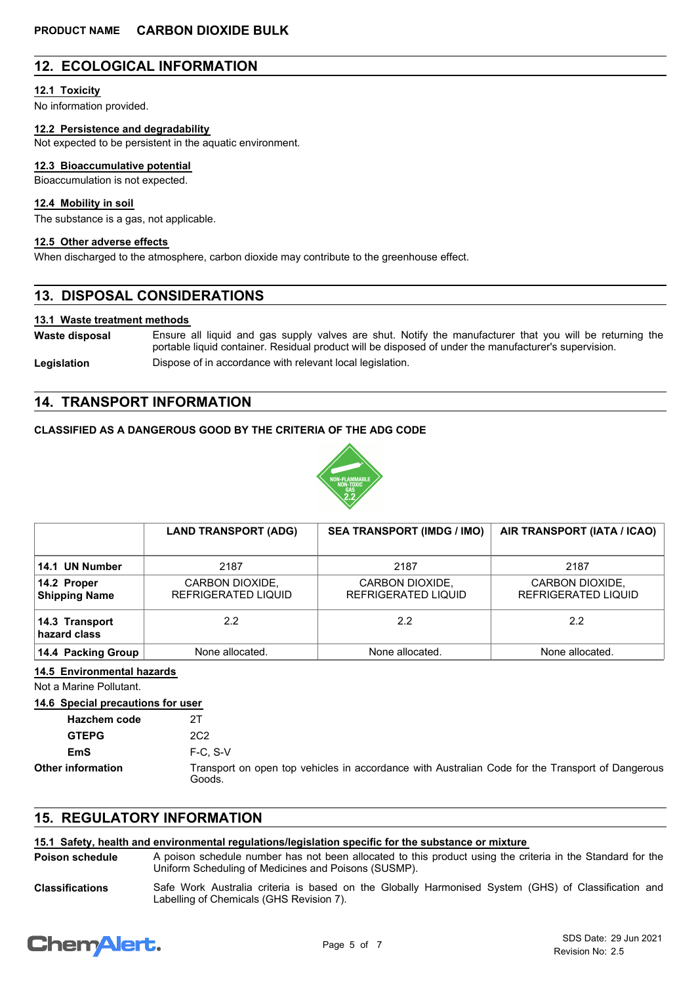# **12. ECOLOGICAL INFORMATION**

#### **12.1 Toxicity**

No information provided.

#### **12.2 Persistence and degradability**

Not expected to be persistent in the aquatic environment.

#### **12.3 Bioaccumulative potential**

Bioaccumulation is not expected.

#### **12.4 Mobility in soil**

The substance is a gas, not applicable.

#### **12.5 Other adverse effects**

When discharged to the atmosphere, carbon dioxide may contribute to the greenhouse effect.

## **13. DISPOSAL CONSIDERATIONS**

#### **13.1 Waste treatment methods**

Ensure all liquid and gas supply valves are shut. Notify the manufacturer that you will be returning the portable liquid container. Residual product will be disposed of under the manufacturer's supervision. **Waste disposal** Legislation **Dispose of in accordance with relevant local legislation.** 

## **14. TRANSPORT INFORMATION**

#### **CLASSIFIED AS A DANGEROUS GOOD BY THE CRITERIA OF THE ADG CODE**



|                                     | <b>LAND TRANSPORT (ADG)</b>            | <b>SEA TRANSPORT (IMDG / IMO)</b>      | AIR TRANSPORT (IATA / ICAO)            |
|-------------------------------------|----------------------------------------|----------------------------------------|----------------------------------------|
| 14.1 UN Number                      | 2187                                   | 2187                                   | 2187                                   |
| 14.2 Proper<br><b>Shipping Name</b> | CARBON DIOXIDE,<br>REFRIGERATED LIQUID | CARBON DIOXIDE,<br>REFRIGERATED LIQUID | CARBON DIOXIDE,<br>REFRIGERATED LIQUID |
| 14.3 Transport<br>hazard class      | 2.2                                    | 2.2                                    | 2.2                                    |
| 14.4 Packing Group                  | None allocated.                        | None allocated.                        | None allocated.                        |

**14.5 Environmental hazards**

Not a Marine Pollutant.

**14.6 Special precautions for user**

| <b>Hazchem code</b>      |                                                                                                            |
|--------------------------|------------------------------------------------------------------------------------------------------------|
| <b>GTEPG</b>             | 2C2                                                                                                        |
| EmS                      | $F-C. S-V$                                                                                                 |
| <b>Other information</b> | Transport on open top vehicles in accordance with Australian Code for the Transport of Dangerous<br>Goods. |

## **15. REGULATORY INFORMATION**

## **15.1 Safety, health and environmental regulations/legislation specific for the substance or mixture**

A poison schedule number has not been allocated to this product using the criteria in the Standard for the Uniform Scheduling of Medicines and Poisons (SUSMP). **Poison schedule**

Safe Work Australia criteria is based on the Globally Harmonised System (GHS) of Classification and Labelling of Chemicals (GHS Revision 7). **Classifications**

# **Chemalert.**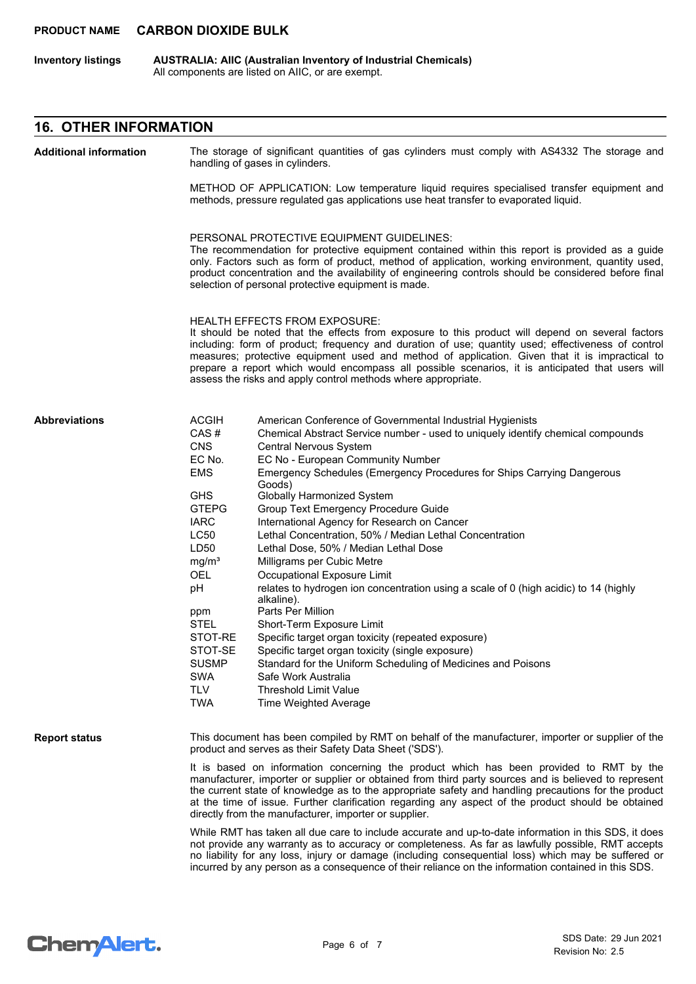**AUSTRALIA: AIIC (Australian Inventory of Industrial Chemicals)** All components are listed on AIIC, or are exempt. **Inventory listings**

## **16. OTHER INFORMATION**

The storage of significant quantities of gas cylinders must comply with AS4332 The storage and handling of gases in cylinders. METHOD OF APPLICATION: Low temperature liquid requires specialised transfer equipment and methods, pressure regulated gas applications use heat transfer to evaporated liquid. PERSONAL PROTECTIVE EQUIPMENT GUIDELINES: The recommendation for protective equipment contained within this report is provided as a guide only. Factors such as form of product, method of application, working environment, quantity used, product concentration and the availability of engineering controls should be considered before final selection of personal protective equipment is made. HEALTH EFFECTS FROM EXPOSURE: It should be noted that the effects from exposure to this product will depend on several factors including: form of product; frequency and duration of use; quantity used; effectiveness of control measures; protective equipment used and method of application. Given that it is impractical to prepare a report which would encompass all possible scenarios, it is anticipated that users will assess the risks and apply control methods where appropriate. ACGIH American Conference of Governmental Industrial Hygienists CAS # Chemical Abstract Service number - used to uniquely identify chemical compounds CNS Central Nervous System EC No. EC No - European Community Number EMS Emergency Schedules (Emergency Procedures for Ships Carrying Dangerous Goods) GHS Globally Harmonized System GTEPG Group Text Emergency Procedure Guide IARC International Agency for Research on Cancer LC50 Lethal Concentration, 50% / Median Lethal Concentration LD50 Lethal Dose, 50% / Median Lethal Dose mg/m<sup>3</sup> Milligrams per Cubic Metre OEL Occupational Exposure Limit pH relates to hydrogen ion concentration using a scale of 0 (high acidic) to 14 (highly alkaline). ppm Parts Per Million STEL Short-Term Exposure Limit STOT-RE Specific target organ toxicity (repeated exposure) STOT-SE Specific target organ toxicity (single exposure) SUSMP Standard for the Uniform Scheduling of Medicines and Poisons SWA Safe Work Australia TI V Threshold Limit Value TWA Time Weighted Average **Abbreviations** This document has been compiled by RMT on behalf of the manufacturer, importer or supplier of the product and serves as their Safety Data Sheet ('SDS'). It is based on information concerning the product which has been provided to RMT by the manufacturer, importer or supplier or obtained from third party sources and is believed to represent the current state of knowledge as to the appropriate safety and handling precautions for the product at the time of issue. Further clarification regarding any aspect of the product should be obtained directly from the manufacturer, importer or supplier. While RMT has taken all due care to include accurate and up-to-date information in this SDS, it does **Report status Additional information**

not provide any warranty as to accuracy or completeness. As far as lawfully possible, RMT accepts no liability for any loss, injury or damage (including consequential loss) which may be suffered or incurred by any person as a consequence of their reliance on the information contained in this SDS.

# **ChemAlert.**